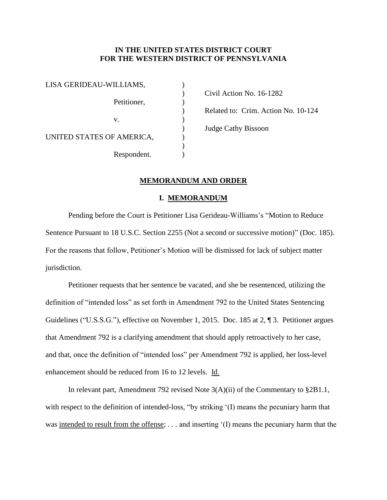# **IN THE UNITED STATES DISTRICT COURT FOR THE WESTERN DISTRICT OF PENNSYLVANIA**

| LISA GERIDEAU-WILLIAMS,   |  |
|---------------------------|--|
| Petitioner,               |  |
| V.                        |  |
| UNITED STATES OF AMERICA, |  |
| Respondent.               |  |

) Civil Action No. 16-1282 ) Related to: Crim. Action No. 10-124 ) Judge Cathy Bissoon

## **MEMORANDUM AND ORDER**

)

## **I. MEMORANDUM**

Pending before the Court is Petitioner Lisa Gerideau-Williams's "Motion to Reduce Sentence Pursuant to 18 U.S.C. Section 2255 (Not a second or successive motion)" (Doc. 185). For the reasons that follow, Petitioner's Motion will be dismissed for lack of subject matter jurisdiction.

Petitioner requests that her sentence be vacated, and she be resentenced, utilizing the definition of "intended loss" as set forth in Amendment 792 to the United States Sentencing Guidelines ("U.S.S.G."), effective on November 1, 2015. Doc. 185 at 2, ¶ 3. Petitioner argues that Amendment 792 is a clarifying amendment that should apply retroactively to her case, and that, once the definition of "intended loss" per Amendment 792 is applied, her loss-level enhancement should be reduced from 16 to 12 levels. Id.

In relevant part, Amendment 792 revised Note  $3(A)(ii)$  of the Commentary to  $\S 2B1.1$ , with respect to the definition of intended-loss, "by striking '(I) means the pecuniary harm that was intended to result from the offense; . . . and inserting '(I) means the pecuniary harm that the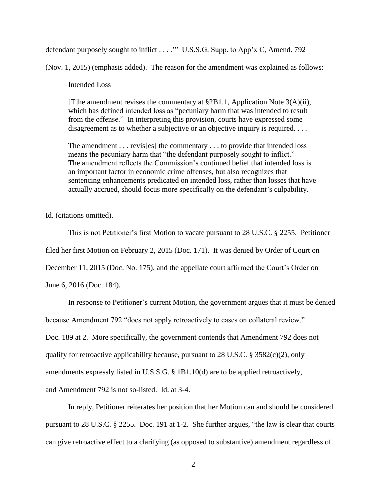defendant purposely sought to inflict . . . . "" U.S.S.G. Supp. to App'x C, Amend. 792

(Nov. 1, 2015) (emphasis added). The reason for the amendment was explained as follows:

#### Intended Loss

[T]he amendment revises the commentary at  $\S 2B1.1$ , Application Note 3(A)(ii), which has defined intended loss as "pecuniary harm that was intended to result from the offense." In interpreting this provision, courts have expressed some disagreement as to whether a subjective or an objective inquiry is required. . . .

The amendment . . . revis[es] the commentary . . . to provide that intended loss means the pecuniary harm that "the defendant purposely sought to inflict." The amendment reflects the Commission's continued belief that intended loss is an important factor in economic crime offenses, but also recognizes that sentencing enhancements predicated on intended loss, rather than losses that have actually accrued, should focus more specifically on the defendant's culpability.

Id. (citations omitted).

This is not Petitioner's first Motion to vacate pursuant to 28 U.S.C. § 2255. Petitioner filed her first Motion on February 2, 2015 (Doc. 171). It was denied by Order of Court on December 11, 2015 (Doc. No. 175), and the appellate court affirmed the Court's Order on

June 6, 2016 (Doc. 184).

In response to Petitioner's current Motion, the government argues that it must be denied

because Amendment 792 "does not apply retroactively to cases on collateral review."

Doc. 189 at 2. More specifically, the government contends that Amendment 792 does not

qualify for retroactive applicability because, pursuant to 28 U.S.C. § 3582(c)(2), only

amendments expressly listed in U.S.S.G. § 1B1.10(d) are to be applied retroactively,

and Amendment 792 is not so-listed. Id. at 3-4.

In reply, Petitioner reiterates her position that her Motion can and should be considered pursuant to 28 U.S.C. § 2255. Doc. 191 at 1-2. She further argues, "the law is clear that courts can give retroactive effect to a clarifying (as opposed to substantive) amendment regardless of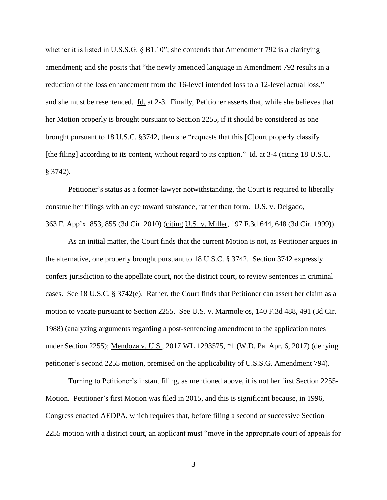whether it is listed in U.S.S.G.  $\S$  B1.10"; she contends that Amendment 792 is a clarifying amendment; and she posits that "the newly amended language in Amendment 792 results in a reduction of the loss enhancement from the 16-level intended loss to a 12-level actual loss," and she must be resentenced. Id. at 2-3. Finally, Petitioner asserts that, while she believes that her Motion properly is brought pursuant to Section 2255, if it should be considered as one brought pursuant to 18 U.S.C. §3742, then she "requests that this [C]ourt properly classify [the filing] according to its content, without regard to its caption." Id. at 3-4 (citing 18 U.S.C. § 3742).

Petitioner's status as a former-lawyer notwithstanding, the Court is required to liberally construe her filings with an eye toward substance, rather than form. U.S. v. Delgado, 363 F. App'x. 853, 855 (3d Cir. 2010) (citing U.S. v. Miller, 197 F.3d 644, 648 (3d Cir. 1999)).

As an initial matter, the Court finds that the current Motion is not, as Petitioner argues in the alternative, one properly brought pursuant to 18 U.S.C. § 3742. Section 3742 expressly confers jurisdiction to the appellate court, not the district court, to review sentences in criminal cases. See 18 U.S.C. § 3742(e). Rather, the Court finds that Petitioner can assert her claim as a motion to vacate pursuant to Section 2255. See U.S. v. Marmolejos, 140 F.3d 488, 491 (3d Cir. 1988) (analyzing arguments regarding a post-sentencing amendment to the application notes under Section 2255); Mendoza v. U.S., 2017 WL 1293575, \*1 (W.D. Pa. Apr. 6, 2017) (denying petitioner's second 2255 motion, premised on the applicability of U.S.S.G. Amendment 794).

Turning to Petitioner's instant filing, as mentioned above, it is not her first Section 2255- Motion. Petitioner's first Motion was filed in 2015, and this is significant because, in 1996, Congress enacted AEDPA, which requires that, before filing a second or successive Section 2255 motion with a district court, an applicant must "move in the appropriate court of appeals for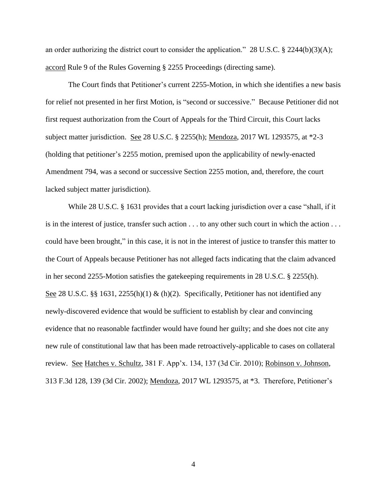an order authorizing the district court to consider the application." 28 U.S.C. § 2244(b)(3)(A); accord Rule 9 of the Rules Governing § 2255 Proceedings (directing same).

The Court finds that Petitioner's current 2255-Motion, in which she identifies a new basis for relief not presented in her first Motion, is "second or successive." Because Petitioner did not first request authorization from the Court of Appeals for the Third Circuit, this Court lacks subject matter jurisdiction. See 28 U.S.C. § 2255(h); Mendoza, 2017 WL 1293575, at \*2-3 (holding that petitioner's 2255 motion, premised upon the applicability of newly-enacted Amendment 794, was a second or successive Section 2255 motion, and, therefore, the court lacked subject matter jurisdiction).

While 28 U.S.C. § 1631 provides that a court lacking jurisdiction over a case "shall, if it is in the interest of justice, transfer such action . . . to any other such court in which the action . . . could have been brought," in this case, it is not in the interest of justice to transfer this matter to the Court of Appeals because Petitioner has not alleged facts indicating that the claim advanced in her second 2255-Motion satisfies the gatekeeping requirements in 28 U.S.C. § 2255(h). See 28 U.S.C. §§ 1631, 2255(h)(1) & (h)(2). Specifically, Petitioner has not identified any newly-discovered evidence that would be sufficient to establish by clear and convincing evidence that no reasonable factfinder would have found her guilty; and she does not cite any new rule of constitutional law that has been made retroactively-applicable to cases on collateral review. See Hatches v. Schultz, 381 F. App'x. 134, 137 (3d Cir. 2010); Robinson v. Johnson, 313 F.3d 128, 139 (3d Cir. 2002); Mendoza, 2017 WL 1293575, at \*3. Therefore, Petitioner's

4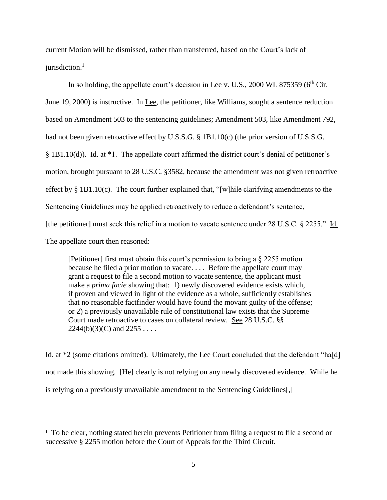current Motion will be dismissed, rather than transferred, based on the Court's lack of  $i$ urisdiction.<sup>1</sup>

In so holding, the appellate court's decision in Lee v. U.S.,  $2000 \text{ WL } 875359$  ( $6^{\text{th}}$  Cir. June 19, 2000) is instructive. In Lee, the petitioner, like Williams, sought a sentence reduction based on Amendment 503 to the sentencing guidelines; Amendment 503, like Amendment 792, had not been given retroactive effect by U.S.S.G. § 1B1.10(c) (the prior version of U.S.S.G. § 1B1.10(d)). Id. at \*1. The appellate court affirmed the district court's denial of petitioner's motion, brought pursuant to 28 U.S.C. §3582, because the amendment was not given retroactive effect by § 1B1.10(c). The court further explained that, "[w]hile clarifying amendments to the Sentencing Guidelines may be applied retroactively to reduce a defendant's sentence, [the petitioner] must seek this relief in a motion to vacate sentence under 28 U.S.C. § 2255." Id. The appellate court then reasoned:

[Petitioner] first must obtain this court's permission to bring a § 2255 motion because he filed a prior motion to vacate. . . . Before the appellate court may grant a request to file a second motion to vacate sentence, the applicant must make a *prima facie* showing that: 1) newly discovered evidence exists which, if proven and viewed in light of the evidence as a whole, sufficiently establishes that no reasonable factfinder would have found the movant guilty of the offense; or 2) a previously unavailable rule of constitutional law exists that the Supreme Court made retroactive to cases on collateral review. See 28 U.S.C. §§  $2244(b)(3)(C)$  and  $2255...$ 

Id. at \*2 (some citations omitted). Ultimately, the Lee Court concluded that the defendant "ha[d] not made this showing. [He] clearly is not relying on any newly discovered evidence. While he is relying on a previously unavailable amendment to the Sentencing Guidelines[,]

 $\overline{a}$ 

<sup>&</sup>lt;sup>1</sup> To be clear, nothing stated herein prevents Petitioner from filing a request to file a second or successive § 2255 motion before the Court of Appeals for the Third Circuit.